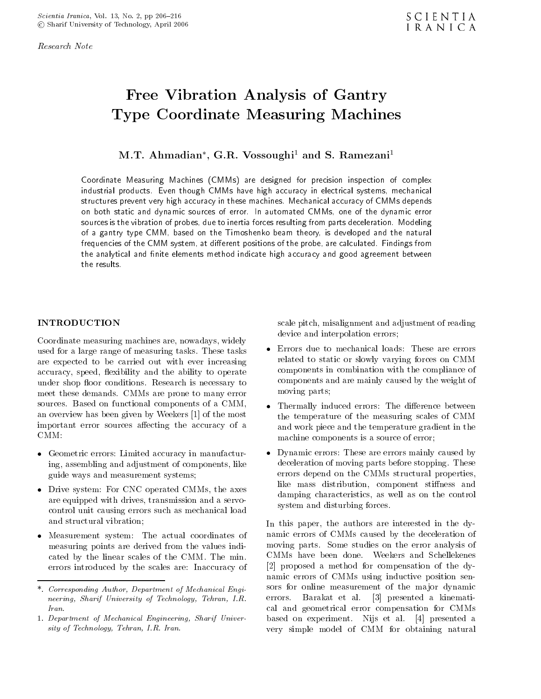Research Note

# Free Vibration Analysis of Gantry Type Coordinate Measuring Machines

M.I. Ahmadian , G.R. Vossoughi<sup>-</sup> and S. Ramezani<sup>-</sup>

Coordinate Measuring Machines (CMMs) are designed for precision inspection of complex industrial products. Even though CMMs have high accuracy in electrical systems, mechanical structures prevent very high accuracy in these machines. Mechanical accuracy of CMMs depends on both static and dynamic sources of error. In automated CMMs, one of the dynamic error sources is the vibration of probes, due to inertia forces resulting from parts deceleration. Modeling of <sup>a</sup> gantry type CMM, based on the Timoshenko beam theory, is developed and the natural  $f$ requencies of the Civilvi system, at unferent positions of the probe, are calculated. Findings from the analytical and nite elements method indicate high accuracy and good agreement between

# INTRODUCTION

Coordinate measuring machines are, nowadays, widely<br>used for a large range of measuring tasks. These tasks <br>express the Errors due to mechanical loads: These are errors used for a large range of measuring tasks. These tasks are expected to be carried out with ever increasing accuracy, speed, flexibility and the ability to operate under shop floor conditions. Research is necessary to meet these demands. CMMs are prone to many error sources. Based on functional components of <sup>a</sup> CMM, an overview has been given by Weekers [1] of the most important error sources affecting the accuracy of a  $CMM$ :

- ing, assembling and adjustment of components, like guide ways and measurement systems;
- are equipped with drives, transmission and a servocontrol unit causing errors such as mechanical load and structural vibration;
- measuring points are derived from the values indicated by the linear scales of the CMM. The min. errors introduced by the scales are: Inaccuracy of

scale pitch, misalignment and adjustment of reading device and interpolation errors;

- related to static or slowly varying forces on CMM components in combination with the compliance of components and are mainly caused by the weight of moving parts;
- the temperature of the measuring scales of CMM and work piece and the temperature gradient in the machine components is a source of error;
- Dynamic errors: These are errors mainly caused by deceleration of moving parts before stopping. These errors depend on the CMMs structural properties, like mass distribution, component stiffness and damping characteristics, as well as on the control system and disturbing forces.

In this paper, the authors are interested in the dynamic errors of CMMs caused by the deceleration of moving parts. Some studies on the error analysis of CMMs have been done. Weekers and Schellekenes [2] proposed <sup>a</sup> method for compensation of the dynamic errors of CMMs using inductive position sensors for online measurement of the major dynamic errors. Barakat et al. [3] presented <sup>a</sup> kinematical and geometrical error compensation for CMMs based on experiment. Nijs et al. [4] presented <sup>a</sup> very simple model of CMM for obtaining natural

<sup>\*.</sup> Corresponding Author, Department of Mechanical Engineering, Sharif University of Technology, Tehran, I.R. Iran.

<sup>1.</sup> Department of Mechanical Engineering, Sharif University of Technology, Tehran, I.R. Iran.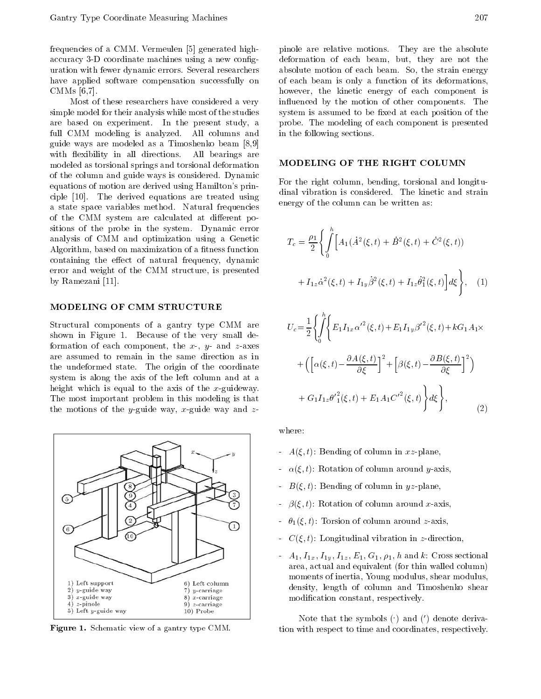frequencies of a CMM. Vermeulen [5] generated highaccuracy 3-D coordinate machines using a new conguration with fewer dynamic errors. Several researchers have applied software compensation successfully on CMMs [6,7].

Most of these researchers have considered a very simple model for their analysis while most of the studies are based on experiment. In the present study, <sup>a</sup> full CMM modeling is analyzed. All columns and guide ways are modeled as <sup>a</sup> Timoshenko beam [8,9] with flexibility in all directions. All bearings are modeled as torsional springs and torsional deformation of the column and guide ways is considered. Dynamic equations of motion are derived using Hamilton's principle [10]. The derived equations are treated using <sup>a</sup> state space variables method. Natural frequencies of the CMM system are calculated at different positions of the probe in the system. Dynamic error analysis of CMM and optimization using <sup>a</sup> Genetic Algorithm, based on maximization of a fitness function containing the effect of natural frequency, dynamic error and weight of the CMM structure, is presented by Ramezani [11].

#### MODELING OF CMM STRUCTURE

Structural components of <sup>a</sup> gantry type CMM are shown in Figure 1. Because of the very small deformation of each component, the  $x$ -,  $y$ - and  $z$ -axes are assumed to remain in the same direction as in the undeformed state. The origin of the coordinate system is along the axis of the left column and at <sup>a</sup> height which is equal to the axis of the  $x$ -guideway. The most important problem in this modeling is that the motions of the y-guide way, x-guide way and  $z$ -



Figure 1. Schematic view of a gantry type CMM.

pinole are relative motions. They are the absolute deformation of each beam, but, they are not the absolute motion of each beam. So, the strain energy of each beam is only <sup>a</sup> function of its deformations, however, the kinetic energy of each component is influenced by the motion of other components. The system is assumed to be fixed at each position of the probe. The modeling of each component is presented in the following sections.

#### MODELING OF THE RIGHT COLUMN

For the right column, bending, torsional and longitudinal vibration isconsidered. The kinetic and strain energy of the column can be written as:

$$
T_c = \frac{\rho_1}{2} \left\{ \int_0^h \left[ A_1(\dot{A}^2(\xi, t) + \dot{B}^2(\xi, t) + \dot{C}^2(\xi, t)) \right. \right. \\ \left. + I_{1z} \dot{\alpha}^2(\xi, t) + I_{1y} \dot{\beta}^2(\xi, t) + I_{1z} \dot{\theta}_1^2(\xi, t) \right] d\xi \right\}, \quad (1)
$$

$$
U_c = \frac{1}{2} \left\{ \int_0^h \left\{ E_1 I_{1x} \alpha'^2(\xi, t) + E_1 I_{1y} \beta'^2(\xi, t) + k G_1 A_1 \times \right. \\ + \left( \left[ \alpha(\xi, t) \frac{\partial A(\xi, t)}{\partial \xi} \right]^2 + \left[ \beta(\xi, t) \frac{\partial B(\xi, t)}{\partial \xi} \right]^2 \right) \\ + G_1 I_{1z} \theta'^2(\xi, t) + E_1 A_1 C'^2(\xi, t) \right\} d\xi \right\}, \tag{2}
$$

where:

- $A(\xi, t)$ : Bending of column in xz-plane,
- $\alpha(\xi, t)$ : Rotation of column around y-axis,
- $B(\xi, t)$ : Bending of column in yz-plane,
- $\beta(\xi, t)$ : Rotation of column around x-axis,
- $-\theta_1(\xi, t)$ : Torsion of column around z-axis,
- $C(\xi, t)$ : Longitudinal vibration in z-direction,
- $A_1, I_{1x}, I_{1y}, I_{1z}, E_1, G_1, \rho_1, h$  and k: Cross sectional area, actual and equivalent (for thin walled column) moments of inertia, Young modulus, shear modulus, density, length of column and Timoshenko shear modication constant, respectively.

Note that the symbols  $( \cdot )$  and  $(')$  denote derivation with respect to time and coordinates, respectively.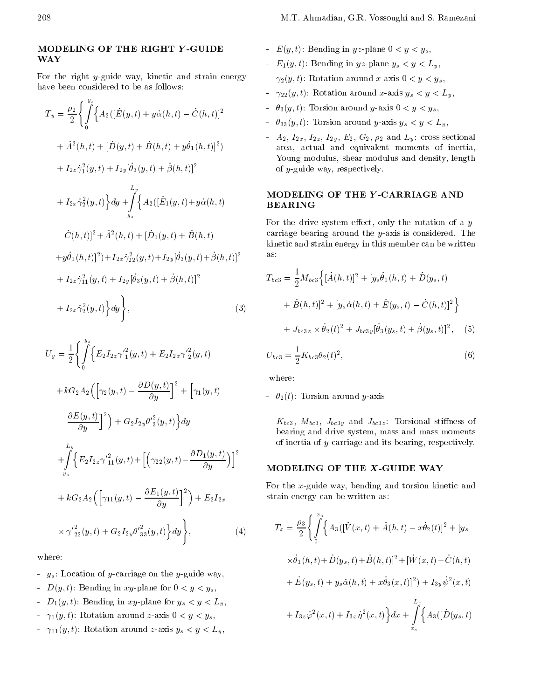### MODELING OF THE RIGHT <sup>Y</sup> -GUIDE WAY

For the right y-guide way, kinetic and strain energy have been considered to be as follows:

$$
T_y = \frac{\rho_2}{2} \left\{ \int_0^{y_s} \left\{ A_2 ( [\dot{E}(y, t) + y\dot{\alpha}(h, t) \quad \dot{C}(h, t)]^2 \right. \\ + \dot{A}^2(h, t) + [\dot{D}(y, t) + \dot{B}(h, t) + y\dot{\theta}_1(h, t)]^2 \right\} \\ + I_{2z} \dot{\gamma}_1^2(y, t) + I_{2y} [\dot{\theta}_3(y, t) + \dot{\beta}(h, t)]^2 \\ + I_{2x} \dot{\gamma}_2^2(y, t) \right\} dy + \int_{y_s}^{L_y} \left\{ A_2 ([\dot{E}_1(y, t) + y\dot{\alpha}(h, t)) \right\}^{\text{T}} \mathbf{F}
$$
  

$$
\dot{C}(h, t)]^2 + \dot{A}^2(h, t) + [\dot{D}_1(y, t) + \dot{B}(h, t) \right\}^{\text{C}}
$$
  

$$
+ y\dot{\theta}_1(h, t)]^2) + I_{2x} \dot{\gamma}_{22}^2(y, t) + I_{2y} [\dot{\theta}_3(y, t) + \dot{\beta}(h, t)]^2 \right\}^{\text{a}}
$$
  

$$
+ I_{2z} \dot{\gamma}_1^2(y, t) + I_{2y} [\dot{\theta}_3(y, t) + \dot{\beta}(h, t)]^2 \qquad \text{a}
$$
  

$$
+ I_{2x} \dot{\gamma}_2^2(y, t) \Big\} dy \Bigg\}, \tag{3}
$$

$$
U_{y} = \frac{1}{2} \left\{ \int_{0}^{y_{s}} \left\{ E_{2} I_{2z} \gamma_{1}^{2}(y, t) + E_{2} I_{2x} \gamma_{2}^{2}(y, t) \right\} \right. d\mathcal{H} + k G_{2} A_{2} \left( \left[ \gamma_{2}(y, t) \frac{\partial D(y, t)}{\partial y} \right]^{2} + \left[ \gamma_{1}(y, t) \frac{\partial E(y, t)}{\partial y} \right]^{2} \right\} + G_{2} I_{2y} \theta_{3}^{2}(y, t) \right\} dy
$$

$$
+ \int_{y_{s}}^{L_{y}} \left\{ E_{2} I_{2z} \gamma_{11}^{2}(y, t) + \left[ \left( \gamma_{22}(y, t) \frac{\partial D_{1}(y, t)}{\partial y} \right) \right]^{2} \right\}
$$

$$
+ k G_{2} A_{2} \left( \left[ \gamma_{11}(y, t) \frac{\partial E_{1}(y, t)}{\partial y} \right]^{2} \right) + E_{2} I_{2x}
$$

$$
\times \gamma_{22}^{2}(y, t) + G_{2} I_{2y} \theta_{33}^{2}(y, t) \right\} dy \Bigg\}, \tag{4}
$$

- $-y_s$ : Location of y-carriage on the y-guide way,
- $D(y, t)$ : Bending in xy-plane for  $0 < y < y_s$ ,
- $D_1(y, t)$ : Bending in xy-plane for  $y_s < y < L_y$ ,
- $\gamma_1(y, t)$ : Rotation around z-axis  $0 < y < y_s$ ,
- $\gamma_{11}(y, t)$ : Rotation around z-axis  $y_s < y < L_y$ ,
- $E(y, t)$ : Bending in yz-plane  $0 < y < y_s$ ,
- $E_1(y,t)$ : Bending in yz-plane  $y_s < y < L_y$ ,
- $\gamma_2(y, t)$ : Rotation around x-axis  $0 < y < y_s$ ,
- $\gamma_{22}(y, t)$ : Rotation around x-axis  $y_s < y < L_y$ ,
- $\theta_3(y, t)$ : Torsion around y-axis  $0 < y < y_s$ ,
- $-\theta_{33}(y, t)$ : Torsion around y-axis  $y_s < y < L_y$ ,
- $A_2, I_{2x}, I_{2y}, I_{2y}, E_2, G_2, \rho_2$  and  $L_y$ : cross sectional area, actual and equivalent moments of inertia, Young modulus, shear modulus and density, length of y-guide way, respectively.

## MODELING OF THE <sup>Y</sup> -CARRIAGE AND BEARING

For the drive system effect, only the rotation of a y-carriage bearing around the y-axis is considered. The kinetic and strain energy in this member can be written

$$
T_{bc3} = \frac{1}{2} M_{bc3} \Big\{ [\dot{A}(h,t)]^2 + [y_s \dot{\theta}_1(h,t) + \dot{D}(y_s, t) + \dot{B}(h,t)]^2 + [y_s \dot{\alpha}(h,t) + \dot{E}(y_s, t) \quad \dot{C}(h,t)]^2 \Big\}
$$
  
+  $J_{bc3z} \times \dot{\theta}_2(t)^2 + J_{bc3y} [\dot{\theta}_3(y_s, t) + \dot{\beta}(y_s, t)]^2$ , (5)  
 $U_{bc3} = \frac{1}{2} K_{bc3} \theta_2(t)^2$ , (6)

where:

- $-\theta_2(t)$ : Torsion around y-axis
- $K_{bc3}$ ,  $M_{bc3}$ ,  $J_{bc3y}$  and  $J_{bc3z}$ : Torsional stiffness of bearing and drive system, mass and mass moments of inertia of y-carriage and its bearing, respectively.

For the  $x$ -guide way, bending and torsion kinetic and strain energy can be written as:

$$
T_x = \frac{\rho_3}{2} \Biggl\{ \int_0^{x_s} \Biggl\{ A_3([\dot{V}(x,t) + \dot{A}(h,t) - x\dot{\theta}_2(t)]^2 + [y_s
$$
  
\n
$$
\times \dot{\theta}_1(h,t) + \dot{D}(y_s,t) + \dot{B}(h,t)]^2 + [\dot{W}(x,t) - \dot{C}(h,t)
$$
  
\n
$$
+ \dot{E}(y_s,t) + y_s \dot{\alpha}(h,t) + x\dot{\theta}_3(x,t)]^2 + I_{3y} \dot{\psi}^2(x,t)
$$
  
\n
$$
+ I_{3z} \dot{\varphi}^2(x,t) + I_{3x} \dot{\eta}^2(x,t) \Biggr\} dx + \int_{x_s}^{L_x} \Biggl\{ A_3([\dot{D}(y_s,t)
$$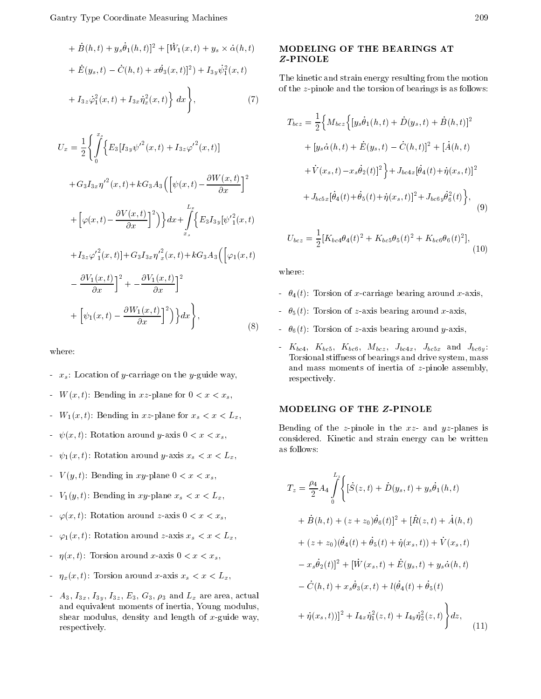$$
+ \dot{B}(h,t) + y_s \dot{\theta}_1(h,t)|^2 + [\dot{W}_1(x,t) + y_s \times \dot{\alpha}(h,t) \qquad \mathbf{X}
$$
  
+  $\dot{E}(y_s, t) \quad \dot{C}(h,t) + x \dot{\theta}_3(x,t)|^2) + I_{3y} \dot{\psi}_1^2(x,t) \qquad \qquad \mathbf{T}$   
+  $I_{3z} \dot{\phi}_1^2(x,t) + I_{3x} \dot{\eta}_x^2(x,t) \Big\} dx \Big\},$  (7)

$$
U_x = \frac{1}{2} \left\{ \int_0^{x_s} \left\{ E_3 [I_{3y} \psi'^2(x, t) + I_{3z} \varphi'^2(x, t)] \right. \\ \left. + G_3 I_{3x} \eta'^2(x, t) + k G_3 A_3 \left( \left[ \psi(x, t) \right] \frac{\partial W(x, t)}{\partial x} \right]^2 \right. \\ \left. + \left[ \varphi(x, t) \left[ \frac{\partial V(x, t)}{\partial x} \right]^2 \right] \right\} dx + \int_{x_s}^{L_x} \left\{ E_3 I_{3y} [\psi'^2(x, t) + I_{3z} \varphi'^2(x, t)] + G_3 I_{3x} \eta'^2(x, t) + k G_3 A_3 \left( \left[ \varphi_1(x, t) \frac{\partial V_1(x, t)}{\partial x} \right]^2 + \left[ \frac{\partial V_1(x, t)}{\partial x} \right]^2 \right. \right\} dt + \left[ \psi_1(x, t) \left[ \frac{\partial W_1(x, t)}{\partial x} \right]^2 \right\} dx \bigg\}, \tag{8}
$$

where:

- $x_s$ : Location of y-carriage on the y-guide way,
- $W(x, t)$ : Bending in xz-plane for  $0 < x < x_s$ ,
- $W_1(x,t)$ : Bending in xz-plane for  $x_s < x < L_x$ ,
- $\psi(x, t)$ : Rotation around y-axis  $0 < x < x_s$ ,
- $\psi_1(x, t)$ : Rotation around y-axis  $x_s < x < L_x$ ,
- $V(y, t)$ : Bending in xy-plane  $0 < x < x_s$ ,
- $V_1(y, t)$ : Bending in xy-plane  $x_s < x < L_x$ ,
- $\varphi(x, t)$ : Rotation around z-axis  $0 < x < x_s$ ,
- $\varphi_1(x, t)$ : Rotation around z-axis  $x_s < x < L_x$ ,
- $\eta(x, t)$ : Torsion around x-axis  $0 < x < x_s$ ,
- $\eta_x(x, t)$ : Torsion around x-axis  $x_s < x < L_x$ ,
- $A_3$ ,  $I_{3x}$ ,  $I_{3y}$ ,  $I_{3z}$ ,  $E_3$ ,  $G_3$ ,  $\rho_3$  and  $L_x$  are area, actual and equivalent moments of inertia, Young modulus, shear modulus, density and length of  $x$ -guide way, respectively.

### MODELING OF THE BEARINGS AT Z-PINOLE

The kinetic and strain energy resulting from the motion of the z-pinole and the torsion of bearings is as follows:

$$
T_{bcz} = \frac{1}{2} \Big\{ M_{bcz} \Big\{ [y_s \dot{\theta}_1(h, t) + \dot{D}(y_s, t) + \dot{B}(h, t)]^2 + [y_s \dot{\alpha}(h, t) + \dot{E}(y_s, t) \dot{C}(h, t)]^2 + [\dot{A}(h, t) + \dot{V}(x_s, t) \dot{x}_s \dot{\theta}_2(t)]^2 \Big\} + J_{bc4x} [\dot{\theta}_4(t) + \dot{\eta}(x_s, t)]^2 + J_{bc5x} [\dot{\theta}_4(t) + \dot{\theta}_5(t) + \dot{\eta}(x_s, t)]^2 + J_{bc6y} \dot{\theta}_6^2(t) \Big\},
$$
\n(9)

$$
U_{bcz} = \frac{1}{2} [K_{bc4} \theta_4(t)^2 + K_{bc5} \theta_5(t)^2 + K_{bc6} \theta_6(t)^2],
$$
\n(10)

where:

- $-\theta_4(t)$ : Torsion of x-carriage bearing around x-axis,
- $-\theta_5(t)$ : Torsion of z-axis bearing around x-axis,
- $\sigma_{6}(t)$   $\sigma_{6}(t)$ . Torsion of z-axis bearing around y-axis,
	- $K_{bc4}$ ,  $K_{bc5}$ ,  $K_{bc6}$ ,  $M_{bcz}$ ,  $J_{bc4x}$ ,  $J_{bc5x}$  and  $J_{bc6y}$ : Torsional stiffness of bearings and drive system, mass and mass moments of inertia of  $z$ -pinole assembly, respectively.

# MODELING OF THE Z-PINOLE

Bending of the *z*-pinole in the  $xz$ - and  $yz$ -planes is considered. Kinetic and strain energy can be written as follows:

$$
T_z = \frac{\rho_4}{2} A_4 \int_0^{L_z} \left\{ \left[ \dot{S}(z, t) + \dot{D}(y_s, t) + y_s \dot{\theta}_1(h, t) \right. \right.\n+ \dot{B}(h, t) + (z + z_0) \dot{\theta}_6(t) \right]^2 + \left[ \dot{R}(z, t) + \dot{A}(h, t) \right.\n+ (z + z_0) (\dot{\theta}_4(t) + \dot{\theta}_5(t) + \dot{\eta}(x_s, t)) + \dot{V}(x_s, t) \nx_s \dot{\theta}_2(t) \right]^2 + \left[ \dot{W}(x_s, t) + \dot{E}(y_s, t) + y_s \dot{\alpha}(h, t) \right.\n\dot{C}(h, t) + x_s \dot{\theta}_3(x, t) + l(\dot{\theta}_4(t) + \dot{\theta}_5(t) \n+ \dot{\eta}(x_s, t)) \right]^2 + I_{4x} \dot{\eta}_1^2(z, t) + I_{4y} \dot{\eta}_2^2(z, t) \Big\} dz,
$$
\n(11)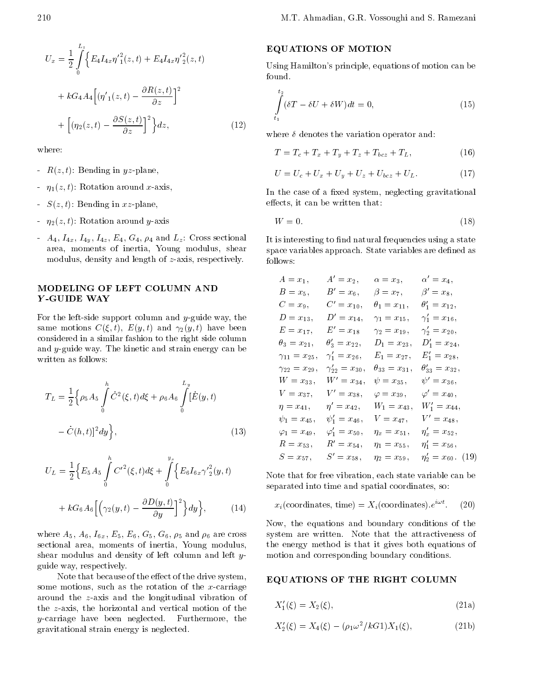$$
U_x = \frac{1}{2} \int_0^{2\pi} \Biggl\{ E_4 I_{4x} \eta'^2(z, t) + E_4 I_{4x} \eta'^2(z, t) \Biggr\} dt
$$
  
+  $k G_4 A_4 \Biggl[ (\eta'_1(z, t) - \frac{\partial R(z, t)}{\partial z} \Biggr]^2$   
+  $\Biggl[ (\eta_2(z, t) - \frac{\partial S(z, t)}{\partial z} \Biggr]^2 \Biggr\} dz,$  (12)

where:

- $R(z, t)$ : Bending in yz-plane,
- $\eta_1(z, t)$ : Rotation around x-axis,
- $S(z, t)$ : Bending in xz-plane,
- $\eta_2(z, t)$ : Rotation around y-axis
- $A_4$ ,  $I_{4x}$ ,  $I_{4y}$ ,  $I_{4z}$ ,  $E_4$ ,  $G_4$ ,  $\rho_4$  and  $L_z$ . Cross sectional area, moments of inertia, Young modulus, shear modulus, density and length of z-axis, respectively.

# MODELING OF LEFT COLUMN AND

For the left-side support column and  $y$ -guide way, the same motions  $C(\xi, t)$ ,  $E(y, t)$  and  $\gamma_2(y, t)$  have been considered in a similar fashion to the right side column and y-guide way. The kinetic and strain energy can be written as follows:

$$
T_L = \frac{1}{2} \Big\{ \rho_5 A_5 \int_0^h \dot{C}^2(\xi, t) d\xi + \rho_6 A_6 \int_0^{L_y} [\dot{E}(y, t)
$$

$$
\dot{C}(h, t)]^2 dy \Big\}, \tag{13}
$$

$$
U_L = \frac{1}{2} \Big\{ E_5 A_5 \int_0^h C'^2(\xi, t) d\xi + \int_0^{y_s} \Big\{ E_6 I_{6x} \gamma'^2(y, t) \Big\} + k G_6 A_6 \Big[ \Big( \gamma_2(y, t) \frac{\partial D(y, t)}{\partial y} \Big)^2 \Big\} dy \Big\}, \tag{14}
$$

where  $A_5$ ,  $A_6$ ,  $I_{6x}$ ,  $E_5$ ,  $E_6$ ,  $G_5$ ,  $G_6$ ,  $\rho_5$  and  $\rho_6$  are cross sectional area, moments of inertia, Young modulus, shear modulus and density of left column and left y guide way, respectively.

Note that because of the effect of the drive system, some motions, such as the rotation of the  $x$ -carriage around the z-axis and the longitudinal vibration of the z-axis, the horizontal and vertical motion of the y-carriage have been neglected. Furthermore, the gravitational strain energy is neglected.

# EQUATIONS OF MOTION

Using Hamilton's principle, equations of motion can be found.

$$
\int_{t_1}^{t_2} (\delta T \quad \delta U + \delta W) dt = 0,\tag{15}
$$

where  $\delta$  denotes the variation operator and:

$$
T = T_c + T_x + T_y + T_z + T_{bcz} + T_L, \t\t(16)
$$

$$
U = U_c + U_x + U_y + U_z + U_{bcz} + U_L. \tag{17}
$$

In the case of a fixed system, neglecting gravitational effects, it can be written that:

$$
W = 0.\t\t(18)
$$

It is interesting to find natural frequencies using a state space variables approach. State variables are defined as follows:

| $A=x_1,$                | $A' = x_2,$              | $\alpha=x_3,$           | $\alpha' = x_4,$         |
|-------------------------|--------------------------|-------------------------|--------------------------|
| $B=x_5,$                | $B'=x_6,$                | $\beta=x_7,$            | $\beta' = x_8,$          |
| $C=x_9$ ,               | $C' = x_{10}$ ,          | $\theta_1=x_{11},$      | $\theta_1' = x_{12},$    |
| $D = x_{13}$ ,          | $D' = x_{14},$           | $\gamma_1=x_{15},$      | $\gamma'_1 = x_{16},$    |
| $E = x_{17}$ ,          | $E' = x_{18}$            | $\gamma_2=x_{19}$ ,     | $\gamma'_2 = x_{20},$    |
| $\theta_3=x_{21},$      | $\theta'_3=x_{22},$      | $D_1 = x_{23},$         | $D'_1 = x_{24},$         |
| $\gamma_{11} = x_{25},$ | $\gamma'_1 = x_{26},$    | $E_1 = x_{27},$         | $E'_1 = x_{28},$         |
| $\gamma_{22} = x_{29},$ | $\gamma'_{22} = x_{30},$ | $\theta_{33} = x_{31},$ | $\theta'_{33} = x_{32},$ |
| $W = x_{33}$ ,          | $W' = x_{34},$           | $\psi=x_{35},$          | $\psi' = x_{36},$        |
| $V = x_{37}$ ,          | $V' = x_{38},$           | $\varphi=x_{39},$       | $\varphi' = x_{40},$     |
| $\eta = x_{41},$        | $\eta' = x_{42},$        | $W_1 = x_{43},$         | $W'_1 = x_{44},$         |
| $\psi_1 = x_{45},$      | $\psi'_1 = x_{46},$      | $V = x_{47}$ ,          | $V' = x_{48},$           |
| $\varphi_1=x_{49},$     | $\varphi_1' = x_{50},$   | $\eta_x = x_{51},$      | $\eta'_x = x_{52},$      |
| $R = x_{53},$           | $R' = x_{54},$           | $\eta_1 = x_{55},$      | $\eta'_1 = x_{56},$      |
| $S = x_{57},$           | $S' = x_{58},$           | $\eta_2 = x_{59},$      | $\eta'_2=x_{60}.$ (19)   |

Note that for free vibration, each state variable can be separated into time and spatial coordinates, so:

$$
x_i(\text{coordinates, time}) = X_i(\text{coordinates}).e^{i\omega t}.
$$
 (20)

Now, the equations and boundary conditions of the system are written. Note that the attractiveness of the energy method is that it gives both equations of motion and corresponding boundary conditions.

#### EQUATIONS OF THE RIGHT COLUMN

$$
X_1'(\xi) = X_2(\xi),
$$
\n(21a)

$$
X_2'(\xi) = X_4(\xi) \quad (\rho_1 \omega^2 / k \, \text{G1}) X_1(\xi), \tag{21b}
$$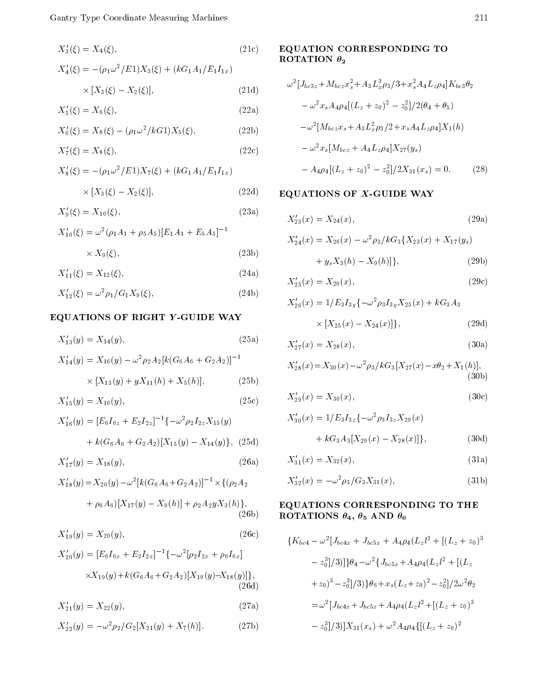$$
X_3'(\xi) = X_4(\xi), \tag{21c}
$$

$$
X_4'(\xi) = (\rho_1 \omega^2 / E1) X_3(\xi) + (kG_1 A_1 / E_1 I_{1x})
$$
  
× [X<sub>3</sub>( $\xi$ ) X<sub>2</sub>( $\xi$ )], (21d)

$$
X_5'(\xi) = X_6(\xi),
$$
\n(22a)

$$
X'_{6}(\xi) = X_{8}(\xi) \quad (\rho_{1}\omega^{2}/kG1)X_{5}(\xi), \tag{22b}
$$

$$
X_7'(\xi) = X_8(\xi),\tag{22c}
$$

$$
X'_{8}(\xi) = (\rho_1 \omega^2 / E1) X_7(\xi) + (kG_1 A_1 / E_1 I_{1x})
$$
  
 
$$
\times [X_3(\xi) \quad X_2(\xi)], \tag{22d}
$$

$$
X_9'(\xi) = X_{10}(\xi),\tag{23a}
$$

$$
X'_{10}(\xi) = \omega^2 (\rho_1 A_1 + \rho_5 A_5) [E_1 A_1 + E_5 A_5]^{-1}
$$
  
×  $X_9(\xi)$ , (23b)

$$
X'_{11}(\xi) = X_{12}(\xi),\tag{24a}
$$

$$
X'_{12}(\xi) = \omega^2 \rho_1 / G_1 X_9(\xi), \qquad (24b)
$$

# EQUATIONS OF RIGHT <sup>Y</sup> -GUIDE WAY

$$
X'_{13}(y) = X_{14}(y), \tag{25a}
$$

$$
X'_{14}(y) = X_{16}(y) \quad \omega^2 \rho_2 A_2[k(G_6A_6 + G_2A_2)]^{-1}
$$

$$
\times [X_{13}(y) + yX_{11}(h) + X_5(h)], \qquad (25b)
$$

$$
X'_{15}(y) = X_{16}(y), \tag{25c}
$$

$$
X'_{16}(y) = [E_6 I_{6z} + E_2 I_{2z}]^{-1} \{ \omega^2 \rho_2 I_{2z} X_{15}(y) + k(G_6 A_6 + G_2 A_2)[X_{15}(y) \quad X_{14}(y) \}, (25d)
$$

$$
X'_{17}(y) = X_{18}(y), \t\t(26a)
$$

$$
X'_{18}(y) = X_{20}(y) \quad \omega^2 [k(G_6A_6 + G_2A_2)]^{-1} \times \{(\rho_2A_2 + \rho_6A_6)[X_{17}(y) \quad X_9(h)] + \rho_2A_2yX_3(h)\},
$$
\n(26b)

$$
X'_{19}(y) = X_{20}(y),\tag{26c}
$$

$$
X'_{20}(y) = [E_6 I_{6x} + E_2 I_{2x}]^{-1} \{ \omega^2 [\rho_2 I_{2x} + \rho_6 I_{6x}]
$$
  
 
$$
\times X_{19}(y) + k(G_6 A_6 + G_2 A_2)[X_{19}(y) X_{18}(y)] \},
$$
  
(26d)

$$
X'_{21}(y) = X_{22}(y), \t\t(27a)
$$

$$
X'_{22}(y) = \omega^2 \rho_2 / G_2[X_{21}(y) + X_7(h)]. \tag{27b}
$$

# EQUATION CORRESPONDING TO ROTATION  $\theta_2$

$$
\omega^2 [J_{bc3z} + M_{bcz} x_s^2 + A_3 L_x^3 \rho_3 / 3 + x_s^2 A_4 L_z \rho_4] K_{bc3} \theta_2
$$
  
\n
$$
\omega^2 x_s A_4 \rho_4 [(L_z + z_0)^2 \t z_0^2] / 2(\theta_4 + \theta_5)
$$
  
\n
$$
\omega^2 [M_{bcz} x_s + A_3 L_x^2 \rho_3 / 2 + x_s A_4 L_z \rho_4] X_1(h)
$$
  
\n
$$
\omega^2 x_s [M_{bcz} + A_4 L_z \rho_4] X_{27}(y_s)
$$
  
\n
$$
A_4 \rho_4 [(L_z + z_0)^2 \t z_0^2] / 2 X_{31}(x_s) = 0.
$$
 (28)

# EQUATIONS OF X-GUIDE WAY

$$
X'_{23}(x) = X_{24}(x), \tag{29a}
$$

$$
X'_{24}(x) = X_{26}(x) \quad \omega^2 \rho_3 / k G_3 \{ X_{23}(x) + X_{17}(y_s) \}
$$

$$
+ y_s X_3(h) \t X_9(h)]\},
$$
 (29b)

$$
X'_{25}(x) = X_{26}(x),\tag{29c}
$$

$$
X'_{26}(x) = 1/E_3 I_{3y} \{ \omega^2 \rho_3 I_{3y} X_{25}(x) + k G_3 A_3
$$

$$
\times [X_{25}(x) \quad X_{24}(x)] \}, \tag{29d}
$$

$$
X'_{27}(x) = X_{28}(x), \t\t(30a)
$$

$$
X'_{28}(x) = X_{30}(x) \quad \omega^2 \rho_3 / k G_3 [X_{27}(x) \quad x \theta_2 + X_1(h)],
$$
\n(30b)

$$
X'_{29}(x) = X_{30}(x),\tag{30c}
$$

$$
X'_{30}(x) = 1/E_3 I_{3z} \{ \omega^2 \rho_3 I_{3z} X_{29}(x) + k G_3 A_3 [X_{29}(x) \quad X_{28}(x)] \},
$$
 (30d)

$$
X'_{31}(x) = X_{32}(x), \tag{31a}
$$

$$
X'_{32}(x) = \omega^2 \rho_3 / G_3 X_{31}(x), \tag{31b}
$$

### EQUATIONS CORRESPONDING TO THE  $\mathbf{F}$  and  $\mathbf{F}$  and  $\mathbf{F}$  and  $\mathbf{F}$  and  $\mathbf{F}$  and  $\mathbf{F}$  and  $\mathbf{F}$  and  $\mathbf{F}$  and  $\mathbf{F}$  and  $\mathbf{F}$  and  $\mathbf{F}$  and  $\mathbf{F}$  and  $\mathbf{F}$  and  $\mathbf{F}$  and  $\mathbf{F}$  and  $\mathbf{F}$  and  $\mathbf{F}$  and

$$
\{K_{bc4} \quad \omega^2 [J_{bc4x} + J_{bc5x} + A_4 \rho_4 (L_z l^2 + [(L_z + z_0)^3
$$
  
\n
$$
z_0^3 |/3]]\} \theta_4 \quad \omega^2 \{J_{bc5x} + A_4 \rho_4 (L_z l^2 + [(L_z + z_0)^3 \quad z_0^3] / 3)\} \theta_6 + x_s (L_z + z_0)^2 \quad z_0^2 ]/2\omega^2 \theta_2
$$
  
\n
$$
= \omega^2 [J_{bc4x} + J_{bc5x} + A_4 \rho_4 (L_z l^2 + [(L_z + z_0)^3
$$
  
\n
$$
z_0^3 |/3]] X_{31}(x_s) + \omega^2 A_4 \rho_4 \{[(L_z + z_0)^2
$$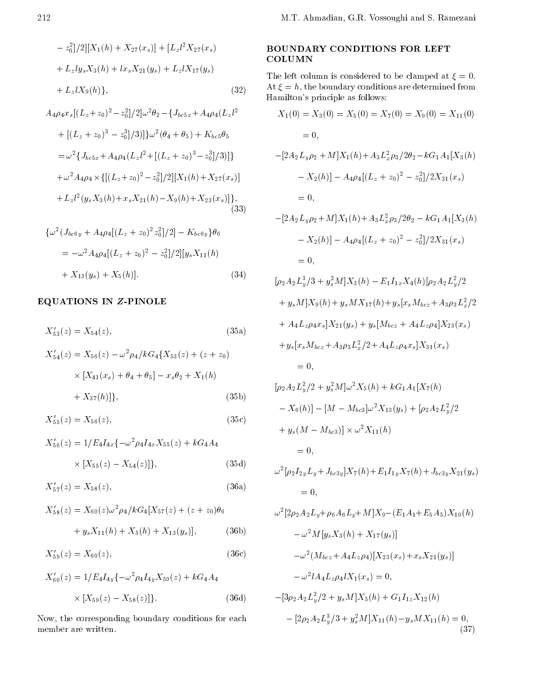$$
z_0^2/2|[X_1(h) + X_{27}(x_s)] + [L_z l^2 X_{27}(x_s)]
$$
 **E**  
+  $L_z l y_s X_3(h) + l x_s X_{21}(y_s) + L_z l X_{17}(y_s)$   
+  $L_z l X_9(h)$ , (32)

$$
A_4 \rho_4 x_s [(L_z + z_0)^2 \t z_0^2] / 2] \omega^2 \theta_2 \t \{J_{bc5x} + A_4 \rho_4 (L_z l^2 + [(L_z + z_0)^3 \t z_0^3] / 3)] \} \omega^2 (\theta_4 + \theta_5) + K_{bc5} \theta_5 = \omega^2 \{J_{bc5x} + A_4 \rho_4 (L_z l^2 + [(L_z + z_0)^3 \t z_0^3] / 3)] \} + \omega^2 A_4 \rho_4 \times \{ [(L_z + z_0)^2 \t z_0^2] / 2] [X_1(h) + X_{27}(x_s)] + L_z l^2 (y_s X_3(h) + x_s X_{21}(h) \t X_9(h) + X_{23}(x_s)] \},
$$
(33)

$$
\{\omega^{2}(J_{bc6y} + A_{4}\rho_{4}[(L_{z} + z_{0})^{2}z_{0}^{2}]/2] \qquad K_{bc6y}\}\theta_{6}
$$
  
=  $\omega^{2}A_{4}\rho_{4}[(L_{z} + z_{0})^{2} \quad z_{0}^{2}]/2][y_{s}X_{11}(h)$   
+  $X_{13}(y_{s}) + X_{5}(h)].$  (34)

# EQUATIONS IN Z-PINOLE

$$
X'_{53}(z) = X_{54}(z), \tag{35a}
$$

$$
X'_{54}(z) = X_{56}(z) \quad \omega^2 \rho_4 / k G_4 \{ X_{53}(z) + (z + z_0) \times [X_{41}(x_s) + \theta_4 + \theta_5] \quad x_s \theta_2 + X_1(h) + X_{37}(h) ]\},
$$
\n(35b)

$$
X'_{55}(z) = X_{56}(z),\tag{35c}
$$

$$
X'_{56}(z) = 1/E_4 I_{4x} \{ \omega^2 \rho_4 I_{4x} X_{55}(z) + k G_4 A_4
$$
  
 
$$
\times [X_{55}(z) \quad X_{54}(z)] \}, \tag{35d}
$$

$$
X'_{57}(z) = X_{58}(z), \tag{36a}
$$

$$
X'_{58}(z) = X_{60}(z)\omega^2 \rho_4 / kG_4[X_{57}(z) + (z + z_0)\theta_6
$$
  
+  $y_s X_{11}(h) + X_5(h) + X_{13}(y_s)$ , (36b)

$$
X'_{59}(z) = X_{60}(z),\tag{36c}
$$

$$
X'_{60}(z) = 1/E_4 I_{4y} \{ \omega^2 \rho_4 I_{4y} X_{59}(z) + k G_4 A_4
$$
  
 
$$
\times [X_{59}(z) \quad X_{58}(z)] \}.
$$
 (36d)

Now, the corresponding boundary conditions for each member are written.

# BOUNDARY CONDITIONS FOR LEFT **COLUMN**

The left column is considered to be clamped at  $\xi = 0$ . At  $\xi = h$ , the boundary conditions are determined from Hamilton's principle as follows:

$$
X_1(0) = X_3(0) = X_5(0) = X_7(0) = X_9(0) = X_{11}(0)
$$
  
= 0,  

$$
[2A_2L_y\rho_2 + M]X_1(h) + A_3L_x^2\rho_3/2\theta_2 \quad kG_1A_1[X_3(h)
$$
  

$$
X_2(h)] \quad A_4\rho_4[(L_z + z_0)^2 \quad z_0^2]/2X_{31}(x_s)
$$
  
= 0,  

$$
[2A_2L_y\rho_2 + M]X_1(h) + A_3L_x^2\rho_3/2\theta_2 \quad kG_1A_1[X_3(h)
$$
  

$$
X_2(h)] \quad A_4\rho_4[(L_z + z_0)^2 \quad z_0^2]/2X_{31}(x_s)
$$
  
= 0,  

$$
[\rho_2A_2L_y^3/3 + y_s^2M]X_3(h) \quad E_1I_{1x}X_4(h)[\rho_2A_2L_y^2/2]
$$

+ 
$$
y_s M | X_9(h) + y_s M X_{17}(h) + y_s [x_s M_{bcz} + A_3 \rho_3 L_x^2/2
$$
  
+  $A_4 L_z \rho_4 x_s | X_{21}(y_s) + y_s [M_{bcz} + A_4 L_z \rho_4] X_{23}(x_s)$   
+  $y_s [x_s M_{bcz} + A_3 \rho_3 L_x^2/2 + A_4 L_z \rho_4 x_s] X_{31}(x_s)$   
= 0,

$$
[\rho_2 A_2 L_y^2 / 2 + y_s^2 M] \omega^2 X_5(h) + k G_1 A_1 [X_7(h)
$$
  
\n
$$
X_6(h)] \quad [M \quad M_{bc3}] \omega^2 X_{13}(y_s) + [\rho_2 A_2 L_y^2 / 2
$$
  
\n
$$
+ y_s (M \quad M_{bc3})] \times \omega^2 X_{11}(h)
$$
  
\n
$$
= 0,
$$
  
\n
$$
\omega^2 [\rho_2 I_{2y} L_y + J_{bc3y}] X_7(h) + E_1 I_{1y} X_7(h) + J_{bc3y} X_{21}(y_s)
$$

$$
= 0,
$$
  
\n
$$
\omega^{2}[2\rho_{2}A_{2}L_{y} + \rho_{6}A_{6}L_{y} + M]X_{9} \quad (E_{1}A_{1} + E_{5}A_{5})X_{10}(h)
$$
  
\n
$$
\omega^{2}M[y_{s}X_{3}(h) + X_{17}(y_{s})]
$$
  
\n
$$
\omega^{2}(M_{bcz} + A_{4}L_{z}\rho_{4})[X_{23}(x_{s}) + x_{s}X_{21}(y_{s})]
$$
  
\n
$$
\omega^{2}A_{4}L_{z}\rho_{4}lX_{1}(x_{s}) = 0,
$$
  
\n
$$
[2e_{1}A_{1}L_{z}^{2}/2 + e_{1}M_{1}V_{s}(h) + C_{1}L_{s}V_{s}(h)]
$$

$$
[3\rho_2 A_2 L_y^2 / 2 + y_s M] X_5(h) + G_1 I_{1z} X_{12}(h)
$$
  

$$
[2\rho_2 A_2 L_y^3 / 3 + y_s^2 M] X_{11}(h) \quad y_s M X_{11}(h) = 0,
$$
  
(37)

 $\sim$   $\sim$   $\sim$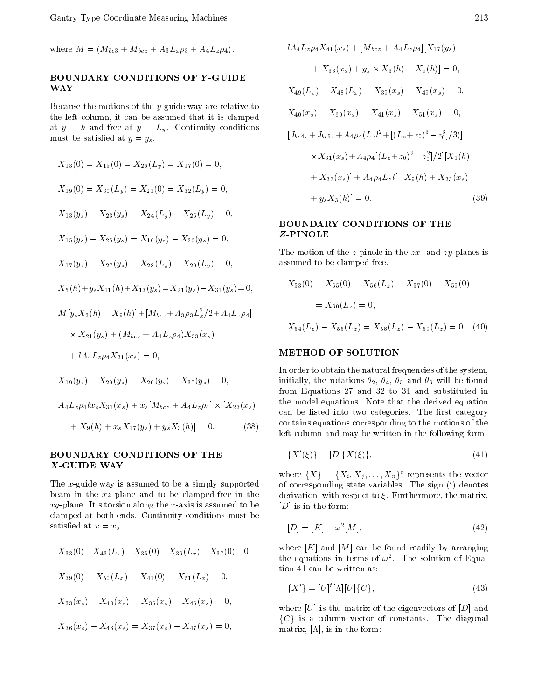where  $M = (M_{bc3} + M_{bcz} + A_3L_x\rho_3 + A_4L_z\rho_4).$ 

# BOUNDARY CONDITIONS OF <sup>Y</sup> -GUIDE WAY

Because the motions of the y-guide way are relative to the left column, it can be assumed that it is clamped at  $y = h$  and free at  $y = L_y$ . Continuity conditions must be satisfied at  $y = y_s$ .

$$
X_{13}(0) = X_{15}(0) = X_{26}(L_y) = X_{17}(0) = 0,
$$
  
\n
$$
X_{19}(0) = X_{30}(L_y) = X_{21}(0) = X_{32}(L_y) = 0,
$$
  
\n
$$
X_{13}(y_s) \quad X_{23}(y_s) = X_{24}(L_y) \quad X_{25}(L_y) = 0,
$$
  
\n
$$
X_{15}(y_s) \quad X_{25}(y_s) = X_{16}(y_s) \quad X_{26}(y_s) = 0,
$$
  
\n
$$
X_{17}(y_s) \quad X_{27}(y_s) = X_{28}(L_y) \quad X_{29}(L_y) = 0,
$$
  
\n
$$
X_{5}(h) + y_s X_{11}(h) + X_{13}(y_s) = X_{21}(y_s) \quad X_{31}(y_s) = 0,
$$
  
\n
$$
M[y_s X_3(h) \quad X_9(h)] + [M_{bcz} + A_{3}\rho_3 L_x^2/2 + A_4 L_z \rho_4]
$$
  
\n
$$
\times X_{21}(y_s) + (M_{bcz} + A_4 L_z \rho_4) X_{33}(x_s)
$$
  
\n
$$
+ lA_4 L_z \rho_4 X_{31}(x_s) = 0,
$$
  
\n
$$
X_{19}(y_s) \quad X_{29}(y_s) = X_{20}(y_s) \quad X_{30}(y_s) = 0,
$$
  
\n
$$
A_4 L_z \rho_4 l x_s X_{31}(x_s) + x_s [M_{bcz} + A_4 L_z \rho_4] \times [X_{23}(x_s) + X_{30}(h) + x_s X_{17}(y_s) + y_s X_{30}(h)] = 0.
$$
  
\n(38)

#### BOUNDARY CONDITIONS OF THE X-GUIDE WAY

The x-guide way is assumed to be a simply supported beam in the xz-plane and to be clamped-free in the  $xy$ -plane. It's torsion along the x-axis is assumed to be clamped at both ends. Continuity conditions must be satisfied at  $x = x_s$ .

$$
X_{33}(0) = X_{43}(L_x) = X_{35}(0) = X_{36}(L_x) = X_{37}(0) = 0,
$$
  
\n
$$
X_{39}(0) = X_{50}(L_x) = X_{41}(0) = X_{51}(L_x) = 0,
$$
  
\n
$$
X_{33}(x_s) \quad X_{43}(x_s) = X_{35}(x_s) \quad X_{45}(x_s) = 0,
$$
  
\n
$$
X_{36}(x_s) \quad X_{46}(x_s) = X_{37}(x_s) \quad X_{47}(x_s) = 0,
$$

$$
lA_4L_z\rho_4X_{41}(x_s) + [M_{bcz} + A_4L_z\rho_4][X_{17}(y_s)
$$
  
+  $X_{33}(x_s) + y_s \times X_3(h) \quad X_9(h)] = 0,$   
 $X_{49}(L_x) \quad X_{48}(L_x) = X_{39}(x_s) \quad X_{49}(x_s) = 0,$   
 $X_{40}(x_s) \quad X_{60}(x_s) = X_{41}(x_s) \quad X_{51}(x_s) = 0,$   

$$
[J_{bc4x} + J_{bc5x} + A_4\rho_4(L_zl^2 + [(L_z + z_0)^3 \quad z_0^3]/3)]
$$
  
 $\times X_{31}(x_s) + A_4\rho_4[(L_z + z_0)^2 \quad z_0^2]/2][X_1(h)$   
+  $X_{37}(x_s)] + A_4\rho_4L_zl[X_9(h) + X_{33}(x_s)$   
+  $y_sX_3(h)] = 0.$  (39)

# BOUNDARY CONDITIONS OF THE

The motion of the z-pinole in the  $zx$ - and  $zy$ -planes is assumed to be clamped-free.

$$
X_{53}(0) = X_{55}(0) = X_{56}(L_z) = X_{57}(0) = X_{59}(0)
$$

$$
= X_{60}(L_z) = 0,
$$

$$
X_{54}(L_z) \quad X_{55}(L_z) = X_{58}(L_z) \quad X_{59}(L_z) = 0. \quad (40)
$$

#### **METHOD OF SOLUTION**

In order to obtain the natural frequencies of the system, initially, the rotations  $\Delta_1$  ,  $\Delta_2$  will be found for a rotations  $\Delta_1$ from Equations <sup>27</sup> and <sup>32</sup> to <sup>34</sup> and substituted in the model equations. Note that the derived equation can be listed into two categories. The first category contains equations corresponding to the motions of the left column and may be written in the following form:

$$
\{X'(\xi)\} = [D]\{X(\xi)\},\tag{41}
$$

where  $\{X_i\} = \{X_i, X_j, \ldots, X_n\}$  represents the vector of corresponding state variables. The sign  $(')$  denotes derivation, with respect to  $\xi$ . Furthermore, the matrix,  $[D]$  is in the form:

$$
[D] = [K] \quad \omega^2 [M], \tag{42}
$$

where  $[K]$  and  $[M]$  can be found readily by arranging the equations in terms of  $\omega^2$ . The solution of Equation 41 can be written as:

$$
\{X'\} = [U]^t[\Lambda][U]\{C\},\tag{43}
$$

where  $|U|$  is the matrix of the eigenvectors of  $|D|$  and  $\begin{bmatrix} \n\text{matrix}, \text{[A]}, \text{is in the form:}\n\end{bmatrix}$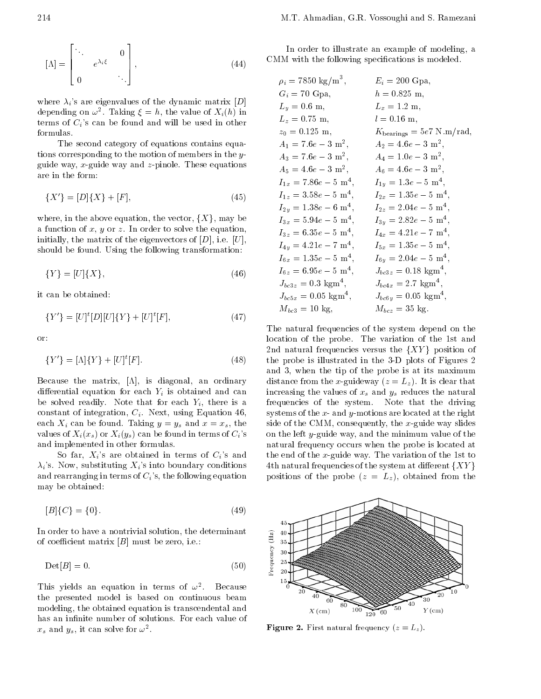$$
[\Lambda] = \begin{vmatrix} \ddots & 0 \\ 0 & \ddots \end{vmatrix}, \tag{44}
$$

<sup>3</sup>

where  $\lambda_i$ 's are eigenvalues of the dynamic matrix [D] depending on  $\omega$ . Taking  $\zeta = n$ , the value of  $\Lambda_i(n)$  in terms of  $C_i$ 's can be found and will be used in other formulas.

The second category of equations contains equations corresponding to the motion of members in the y guide way, x-guide way and  $z$ -pinole. These equations are in the form:

$$
\{X'\} = [D]\{X\} + [F],\tag{45}
$$

where, in the above equation, the vector,  $\{X\}$ , may be a function of x, y or z. In order to solve the equation, initially, the matrix of the eigenvectors of  $[D]$ , i.e.  $[U]$ , should be found. Using the following transformation:

$$
\{Y\} = [U]\{X\},\tag{46}
$$

it can be obtained:

$$
\{Y'\} = [U]^t [D][U]\{Y\} + [U]^t [F],\tag{47}
$$

or:

$$
\{Y'\} = [\Lambda]\{Y\} + [U]^t[F].
$$
\n(48) t

Because the matrix,  $[\Lambda]$ , is diagonal, an ordinary differential equation for each  $Y_i$  is obtained and can be solved readily. Note that for each  $Y_i$ , there is a constant of integration,  $C_i$ . Next, using Equation 46, each  $X_i$  can be found. Taking  $y = y_s$  and  $x = x_s$ , the values of  $X_i(x_s)$  or  $X_i(y_s)$  can be found in terms of  $C_i$ 's and implemented in other formulas.

So far,  $X_i$ 's are obtained in terms of  $C_i$ 's and  $\lambda_i$ 's. Now, substituting  $X_i$ 's into boundary conditions 4th natural frequencies of the system at different  $\{XY\}$ and rearranging in terms of  $C_i$ 's, the following equation may be obtained:

$$
[B]{C} = {0}. \t(49)
$$

In order to have a nontrivial solution, the determinant<br>of coefficient matrix [B] must be zero, i.e.:<br>Det[B] = 0. (50) of coefficient matrix  $[B]$  must be zero, i.e.:

$$
\text{Det}[B] = 0. \tag{50}
$$

This yields an equation in terms of  $\omega^2$ . . Because the presented model is based on continuous beam modeling, the obtained equation is transcendental and has an infinite number of solutions. For each value of  $x_s$  and  $y_s$ , it can solve for  $\omega$  .

In order to illustrate an example of modeling, <sup>a</sup> CMM with the following specifications is modeled.

| $\rho_i = 7850 \text{ kg/m}^3,$      | $E_i = 200$ Gpa,                             |  |
|--------------------------------------|----------------------------------------------|--|
| $G_i = 70$ Gpa,                      | $h = 0.825$ m,                               |  |
| $L_y = 0.6$ m,                       | $L_x = 1.2$ m,                               |  |
| $L_z = 0.75$ m,                      | $l = 0.16$ m,                                |  |
| $z_0 = 0.125$ m,                     | $K_{\text{bearings}} = 5e7 \text{ N.m/rad},$ |  |
| $A_1 = 7.6e$ 3 m <sup>2</sup> ,      | $A_2 = 4.6e$ 3 m <sup>2</sup> ,              |  |
| $A_3 = 7.6e$ 3 m <sup>2</sup> ,      | $A_4 = 1.0e$ 3 m <sup>2</sup> ,              |  |
| $A_5 = 4.6e$ 3 m <sup>2</sup> ,      | $A_6 = 4.6e$ 3 m <sup>2</sup> ,              |  |
| $I_{1x} = 7.86e$ 5 m <sup>4</sup> ,  | $I_{1y} = 1.3e$ 5 m <sup>4</sup> ,           |  |
| $I_{1z} = 3.58e$ 5 m <sup>4</sup> ,  | $I_{2x} = 1.35e$ 5 m <sup>4</sup> ,          |  |
| $I_{2y} = 1.38e$ 6 m <sup>4</sup> ,  | $I_{2z} = 2.04e$ 5 m <sup>4</sup> ,          |  |
| $I_{3x} = 5.94e$ 5 m <sup>4</sup> ,  | $I_{3y} = 2.82e$ 5 m <sup>4</sup> ,          |  |
| $I_{3z} = 6.35e$ 5 m <sup>4</sup> ,  | $I_{4x} = 4.21e$ 7 m <sup>4</sup> ,          |  |
| $I_{4y} = 4.21e$ 7 m <sup>4</sup> ,  | $I_{5x} = 1.35e$ 5 m <sup>4</sup> ,          |  |
| $I_{6x} = 1.35e$ 5 m <sup>4</sup> ,  | $I_{6y} = 2.04e-5$ m <sup>4</sup> ,          |  |
| $I_{6z} = 6.95e$ 5 m <sup>4</sup> ,  | $J_{bc3z} = 0.18$ kgm <sup>4</sup> ,         |  |
| $J_{bc3z} = 0.3$ kgm <sup>4</sup> ,  | $J_{bc4x} = 2.7$ kgm <sup>4</sup> ,          |  |
| $J_{bc5x} = 0.05$ kgm <sup>4</sup> , | $J_{bc6y} = 0.05$ kgm <sup>4</sup> ,         |  |
| $M_{bc3} = 10$ kg,                   | $M_{bcz} = 35$ kg.                           |  |

The natural frequencies of the system depend on the location of the probe. The variation of the 1st and 2nd natural frequencies versus the  $(1, 2)$  g position of  $\frac{1}{2}$  is the probe is illustrated in the 3-D plots of Figures 2 and 3, when the tip of the probe is at its maximum distance from the x-guideway  $(z = L_z)$ . It is clear that increasing the values of  $x_s$  and  $y_s$  reduces the natural frequencies of the system. Note that the driving systems of the  $x$ - and  $y$ -motions are located at the right side of the CMM, consequently, the x-guide way slides on the left y-guide way, and the minimum value of the natural frequency occurs when the probe is located at the end of the x-guide way. The variation of the 1st to positions of the probe  $(z = L_z)$ , obtained from the



 $\blacksquare$  Figure 2. First natural frequency (z = Lz ).

**2005 - Participants and States and States and States and States and States and States and States and States and**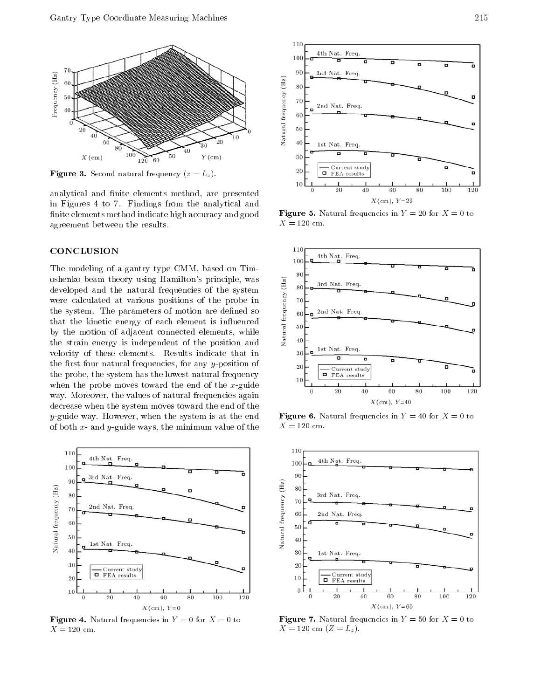

 $\blacksquare$  . Second second natural frequency (z  $\blacksquare$   $\blacksquare$ 

analytical and finite elements method, are presented in Figures <sup>4</sup> to 7. Findings from the analytical and finite elements method indicate high accuracy and good agreement between the results.

### **CONCLUSION**

The modeling of a gantry type CMM, based on Timoshenko beam theory using Hamilton's principle, was<br>developed and the natural frequencies of the system<br>were calculated at various positions of the probe in<br>the system. The parameters of motion are defined so<br>that the kin developed and the natural frequencies of the system were calculated at various positions of the probe in the system. The parameters of motion are defined so that the kinetic energy of each element is influenced  $\frac{4}{3}$   $\frac{1}{50}$ by the motion of adjacent connected elements, while the strain energy is independent of the position and velocity of these elements. Results indicate that in the first four natural frequencies, for any  $y$ -position of the probe, the system has the lowest natural frequency when the probe moves toward the end of the  $x$ -guide way. Moreover, the values of natural frequencies again decrease when the system moves toward the end of the y-guide way. However, when the system is at the end of both  $x$ - and  $y$ -guide ways, the minimum value of the



**Figure 4.** Natural frequencies in  $Y = 0$  for  $X = 0$  to  $X = 120$  cm.



Figure 5. Natural frequencies in <sup>Y</sup> = 20 for <sup>X</sup> = 0 to  $X = 120$  cm.



 $\blacksquare$   $\blacksquare$   $\blacksquare$   $\blacksquare$   $\blacksquare$   $\blacksquare$   $\blacksquare$   $\blacksquare$   $\blacksquare$   $\blacksquare$   $\blacksquare$   $\blacksquare$   $\blacksquare$   $\blacksquare$   $\blacksquare$   $\blacksquare$   $\blacksquare$   $\blacksquare$   $\blacksquare$   $\blacksquare$   $\blacksquare$   $\blacksquare$   $\blacksquare$   $\blacksquare$   $\blacksquare$   $\blacksquare$   $\blacksquare$   $\blacksquare$   $\blacksquare$   $\blacksquare$   $\blacksquare$   $\blacks$  $X=120\,$  cm.



Figure 7. Natural frequencies in <sup>Y</sup> = 50 for <sup>X</sup> = 0 to  $X = 120$  cm  $(Z = L_z)$ .